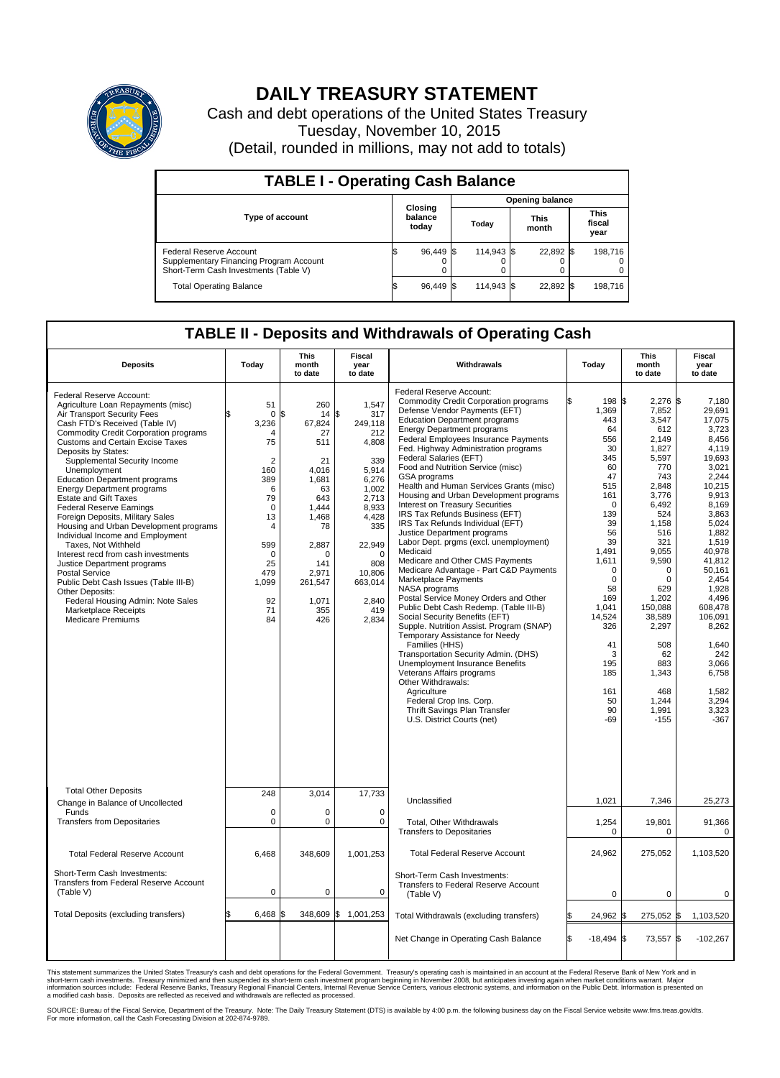

## **DAILY TREASURY STATEMENT**

Cash and debt operations of the United States Treasury Tuesday, November 10, 2015 (Detail, rounded in millions, may not add to totals)

| <b>TABLE I - Operating Cash Balance</b>                                                                     |  |                             |  |                        |  |                      |  |                               |  |  |  |
|-------------------------------------------------------------------------------------------------------------|--|-----------------------------|--|------------------------|--|----------------------|--|-------------------------------|--|--|--|
|                                                                                                             |  |                             |  | <b>Opening balance</b> |  |                      |  |                               |  |  |  |
| <b>Type of account</b>                                                                                      |  | Closing<br>balance<br>today |  | Today                  |  | <b>This</b><br>month |  | <b>This</b><br>fiscal<br>year |  |  |  |
| Federal Reserve Account<br>Supplementary Financing Program Account<br>Short-Term Cash Investments (Table V) |  | 96.449 \$                   |  | 114.943 \$             |  | 22.892 \$            |  | 198.716                       |  |  |  |
| <b>Total Operating Balance</b>                                                                              |  | 96.449 \$                   |  | 114.943 \$             |  | 22,892 \$            |  | 198,716                       |  |  |  |

## **TABLE II - Deposits and Withdrawals of Operating Cash**

| <b>Deposits</b>                                                                                                                                                                                                                                                                                                                                                                                                                                                                                                                                                                                                                                                                                                                                                                                                                                       | Today                                                                                                                                                                                 | <b>This</b><br>month<br>to date                                                                                                                                            | <b>Fiscal</b><br>year<br>to date                                                                                                                                                             | Withdrawals                                                                                                                                                                                                                                                                                                                                                                                                                                                                                                                                                                                                                                                                                                                                                                                                                                                                                                                                                                                                                                                                                                                                                                                                               |    | Today                                                                                                                                                                                                                                                       | <b>This</b><br>month<br>to date                                                                                                                                                                                                                                                               | Fiscal<br>year<br>to date                                                                                                                                                                                                                                                                                       |
|-------------------------------------------------------------------------------------------------------------------------------------------------------------------------------------------------------------------------------------------------------------------------------------------------------------------------------------------------------------------------------------------------------------------------------------------------------------------------------------------------------------------------------------------------------------------------------------------------------------------------------------------------------------------------------------------------------------------------------------------------------------------------------------------------------------------------------------------------------|---------------------------------------------------------------------------------------------------------------------------------------------------------------------------------------|----------------------------------------------------------------------------------------------------------------------------------------------------------------------------|----------------------------------------------------------------------------------------------------------------------------------------------------------------------------------------------|---------------------------------------------------------------------------------------------------------------------------------------------------------------------------------------------------------------------------------------------------------------------------------------------------------------------------------------------------------------------------------------------------------------------------------------------------------------------------------------------------------------------------------------------------------------------------------------------------------------------------------------------------------------------------------------------------------------------------------------------------------------------------------------------------------------------------------------------------------------------------------------------------------------------------------------------------------------------------------------------------------------------------------------------------------------------------------------------------------------------------------------------------------------------------------------------------------------------------|----|-------------------------------------------------------------------------------------------------------------------------------------------------------------------------------------------------------------------------------------------------------------|-----------------------------------------------------------------------------------------------------------------------------------------------------------------------------------------------------------------------------------------------------------------------------------------------|-----------------------------------------------------------------------------------------------------------------------------------------------------------------------------------------------------------------------------------------------------------------------------------------------------------------|
| Federal Reserve Account:<br>Agriculture Loan Repayments (misc)<br>Air Transport Security Fees<br>Cash FTD's Received (Table IV)<br><b>Commodity Credit Corporation programs</b><br><b>Customs and Certain Excise Taxes</b><br>Deposits by States:<br>Supplemental Security Income<br>Unemployment<br><b>Education Department programs</b><br><b>Energy Department programs</b><br><b>Estate and Gift Taxes</b><br><b>Federal Reserve Earnings</b><br>Foreign Deposits, Military Sales<br>Housing and Urban Development programs<br>Individual Income and Employment<br>Taxes, Not Withheld<br>Interest recd from cash investments<br>Justice Department programs<br><b>Postal Service</b><br>Public Debt Cash Issues (Table III-B)<br>Other Deposits:<br>Federal Housing Admin: Note Sales<br><b>Marketplace Receipts</b><br><b>Medicare Premiums</b> | 51<br>$\mathbf 0$<br>3,236<br>$\overline{4}$<br>75<br>$\overline{2}$<br>160<br>389<br>6<br>79<br>$\mathbf 0$<br>13<br>4<br>599<br>$\mathbf 0$<br>25<br>479<br>1,099<br>92<br>71<br>84 | 260<br>\$<br>14<br>67,824<br>27<br>511<br>21<br>4,016<br>1,681<br>63<br>643<br>1.444<br>1,468<br>78<br>2,887<br>$\Omega$<br>141<br>2,971<br>261,547<br>1.071<br>355<br>426 | 1,547<br>\$<br>317<br>249,118<br>212<br>4,808<br>339<br>5,914<br>6,276<br>1.002<br>2,713<br>8,933<br>4,428<br>335<br>22,949<br>$\Omega$<br>808<br>10,806<br>663,014<br>2,840<br>419<br>2,834 | Federal Reserve Account:<br><b>Commodity Credit Corporation programs</b><br>Defense Vendor Payments (EFT)<br><b>Education Department programs</b><br><b>Energy Department programs</b><br>Federal Employees Insurance Payments<br>Fed. Highway Administration programs<br>Federal Salaries (EFT)<br>Food and Nutrition Service (misc)<br>GSA programs<br>Health and Human Services Grants (misc)<br>Housing and Urban Development programs<br>Interest on Treasury Securities<br>IRS Tax Refunds Business (EFT)<br>IRS Tax Refunds Individual (EFT)<br>Justice Department programs<br>Labor Dept. prgms (excl. unemployment)<br>Medicaid<br>Medicare and Other CMS Payments<br>Medicare Advantage - Part C&D Payments<br>Marketplace Payments<br>NASA programs<br>Postal Service Money Orders and Other<br>Public Debt Cash Redemp. (Table III-B)<br>Social Security Benefits (EFT)<br>Supple. Nutrition Assist. Program (SNAP)<br>Temporary Assistance for Needy<br>Families (HHS)<br>Transportation Security Admin. (DHS)<br>Unemployment Insurance Benefits<br>Veterans Affairs programs<br>Other Withdrawals:<br>Agriculture<br>Federal Crop Ins. Corp.<br>Thrift Savings Plan Transfer<br>U.S. District Courts (net) |    | 198 \$<br>1,369<br>443<br>64<br>556<br>30<br>345<br>60<br>47<br>515<br>161<br>$\Omega$<br>139<br>39<br>56<br>39<br>1,491<br>1,611<br>$\mathbf 0$<br>$\mathbf 0$<br>58<br>169<br>1,041<br>14.524<br>326<br>41<br>3<br>195<br>185<br>161<br>50<br>90<br>$-69$ | $2,276$ \$<br>7,852<br>3,547<br>612<br>2,149<br>1,827<br>5,597<br>770<br>743<br>2,848<br>3.776<br>6,492<br>524<br>1,158<br>516<br>321<br>9,055<br>9,590<br>$\Omega$<br>$\Omega$<br>629<br>1,202<br>150,088<br>38.589<br>2,297<br>508<br>62<br>883<br>1,343<br>468<br>1,244<br>1,991<br>$-155$ | 7,180<br>29,691<br>17.075<br>3.723<br>8,456<br>4,119<br>19.693<br>3.021<br>2,244<br>10,215<br>9.913<br>8,169<br>3,863<br>5,024<br>1.882<br>1,519<br>40,978<br>41,812<br>50.161<br>2.454<br>1,928<br>4.496<br>608,478<br>106.091<br>8,262<br>1.640<br>242<br>3,066<br>6,758<br>1,582<br>3,294<br>3,323<br>$-367$ |
| <b>Total Other Deposits</b><br>Change in Balance of Uncollected                                                                                                                                                                                                                                                                                                                                                                                                                                                                                                                                                                                                                                                                                                                                                                                       | 248                                                                                                                                                                                   | 3,014                                                                                                                                                                      | 17,733                                                                                                                                                                                       | Unclassified                                                                                                                                                                                                                                                                                                                                                                                                                                                                                                                                                                                                                                                                                                                                                                                                                                                                                                                                                                                                                                                                                                                                                                                                              |    | 1,021                                                                                                                                                                                                                                                       | 7,346                                                                                                                                                                                                                                                                                         | 25,273                                                                                                                                                                                                                                                                                                          |
| Funds<br><b>Transfers from Depositaries</b>                                                                                                                                                                                                                                                                                                                                                                                                                                                                                                                                                                                                                                                                                                                                                                                                           | $\mathbf 0$<br>$\mathbf 0$                                                                                                                                                            | $\Omega$<br>0                                                                                                                                                              | $\mathbf 0$<br>$\mathbf 0$                                                                                                                                                                   | Total, Other Withdrawals<br><b>Transfers to Depositaries</b>                                                                                                                                                                                                                                                                                                                                                                                                                                                                                                                                                                                                                                                                                                                                                                                                                                                                                                                                                                                                                                                                                                                                                              |    | 1,254<br>$\mathbf 0$                                                                                                                                                                                                                                        | 19,801<br>$\Omega$                                                                                                                                                                                                                                                                            | 91,366<br>$\mathbf 0$                                                                                                                                                                                                                                                                                           |
| <b>Total Federal Reserve Account</b>                                                                                                                                                                                                                                                                                                                                                                                                                                                                                                                                                                                                                                                                                                                                                                                                                  | 6,468                                                                                                                                                                                 | 348,609                                                                                                                                                                    | 1,001,253                                                                                                                                                                                    | <b>Total Federal Reserve Account</b>                                                                                                                                                                                                                                                                                                                                                                                                                                                                                                                                                                                                                                                                                                                                                                                                                                                                                                                                                                                                                                                                                                                                                                                      |    | 24,962                                                                                                                                                                                                                                                      | 275,052                                                                                                                                                                                                                                                                                       | 1,103,520                                                                                                                                                                                                                                                                                                       |
| Short-Term Cash Investments:<br>Transfers from Federal Reserve Account<br>(Table V)                                                                                                                                                                                                                                                                                                                                                                                                                                                                                                                                                                                                                                                                                                                                                                   | $\pmb{0}$                                                                                                                                                                             | 0                                                                                                                                                                          | $\mathbf 0$                                                                                                                                                                                  | Short-Term Cash Investments:<br>Transfers to Federal Reserve Account<br>(Table V)                                                                                                                                                                                                                                                                                                                                                                                                                                                                                                                                                                                                                                                                                                                                                                                                                                                                                                                                                                                                                                                                                                                                         |    | $\mathbf 0$                                                                                                                                                                                                                                                 | $\Omega$                                                                                                                                                                                                                                                                                      | $\mathbf 0$                                                                                                                                                                                                                                                                                                     |
| Total Deposits (excluding transfers)                                                                                                                                                                                                                                                                                                                                                                                                                                                                                                                                                                                                                                                                                                                                                                                                                  | 6,468                                                                                                                                                                                 |                                                                                                                                                                            | 348,609 \$ 1,001,253                                                                                                                                                                         | Total Withdrawals (excluding transfers)                                                                                                                                                                                                                                                                                                                                                                                                                                                                                                                                                                                                                                                                                                                                                                                                                                                                                                                                                                                                                                                                                                                                                                                   | \$ | 24,962 \$                                                                                                                                                                                                                                                   | 275,052 \$                                                                                                                                                                                                                                                                                    | 1,103,520                                                                                                                                                                                                                                                                                                       |
|                                                                                                                                                                                                                                                                                                                                                                                                                                                                                                                                                                                                                                                                                                                                                                                                                                                       |                                                                                                                                                                                       |                                                                                                                                                                            |                                                                                                                                                                                              | Net Change in Operating Cash Balance                                                                                                                                                                                                                                                                                                                                                                                                                                                                                                                                                                                                                                                                                                                                                                                                                                                                                                                                                                                                                                                                                                                                                                                      | Ŝ. | $-18,494$ \$                                                                                                                                                                                                                                                | 73,557                                                                                                                                                                                                                                                                                        | l\$<br>$-102,267$                                                                                                                                                                                                                                                                                               |

This statement summarizes the United States Treasury's cash and debt operations for the Federal Government. Treasury's operating cash is maintained in an account at the Federal Reserve Bank of New York and in<br>short-term ca

SOURCE: Bureau of the Fiscal Service, Department of the Treasury. Note: The Daily Treasury Statement (DTS) is available by 4:00 p.m. the following business day on the Fiscal Service website www.fms.treas.gov/dts.<br>For more